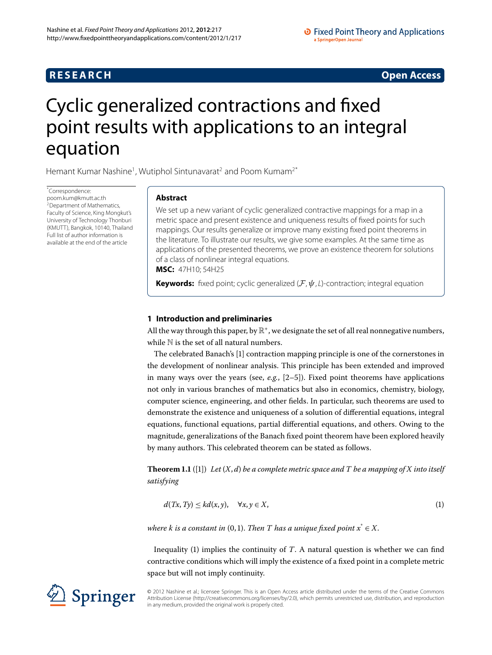# **D** Fixed Point Theory and Applications a SpringerOpen Journal

# **RESEARCH CONSTRUCTED ACCESS**

# <span id="page-0-0"></span>Cyclic generalized contractions and fixed point results with applications to an integral equation

Hemant Kumar Nashine<sup>[1](#page-12-0)</sup>, Wutiphol Sintunavarat<sup>[2](#page-12-1)</sup> and Poom Kumam<sup>2[\\*](#page-0-0)</sup>

\* Correspondence: [poom.kum@kmutt.ac.th](mailto:poom.kum@kmutt.ac.th) <sup>2</sup> Department of Mathematics, Faculty of Science, King Mongkut's University of Technology Thonburi (KMUTT), Bangkok, 10140, Thailand Full list of author information is available at the end of the article

# **Abstract**

We set up a new variant of cyclic generalized contractive mappings for a map in a metric space and present existence and uniqueness results of fixed points for such mappings. Our results generalize or improve many existing fixed point theorems in the literature. To illustrate our results, we give some examples. At the same time as applications of the presented theorems, we prove an existence theorem for solutions of a class of nonlinear integral equations. **MSC:** 47H10; 54H25

**Keywords:** fixed point; cyclic generalized (F,*ψ*, L)-contraction; integral equation

# **1 Introduction and preliminaries**

All the way through this paper, by  $\mathbb{R}^+$ , we designate the set of all real nonnegative numbers, while  $N$  is the set of all natural numbers.

The celebrated Banach's [[\]](#page-12-2) contraction mapping principle is one of the cornerstones in the development of nonlinear analysis. This principle has been extended and improved in many ways over the years (see,  $e.g., [2-5]$ ). Fixed point theorems have applications not only in various branches of mathematics but also in economics, chemistry, biology, computer science, engineering, and other fields. In particular, such theorems are used to demonstrate the existence and uniqueness of a solution of differential equations, integral equations, functional equations, partial differential equations, and others. Owing to the magnitude, generalizations of the Banach fixed point theorem have been explored heavily by many authors. This celebrated theorem can be stated as follows.

**Theorem 1.1** ([1[\]](#page-12-2)) Let  $(X, d)$  be a complete metric space and T be a mapping of X into itself *satisfying*

<span id="page-0-1"></span>
$$
d(Tx, Ty) \le kd(x, y), \quad \forall x, y \in X,
$$
\n<sup>(1)</sup>

*where k is a constant in* (0,1). *Then T has a unique fixed point*  $x^* \in X$ .

Inequality () implies the continuity of *T*. A natural question is whether we can find contractive conditions which will imply the existence of a fixed point in a complete metric space but will not imply continuity.

© 2012 Nashine et al.; licensee Springer. This is an Open Access article distributed under the terms of the Creative Commons Attribution License [\(http://creativecommons.org/licenses/by/2.0](http://creativecommons.org/licenses/by/2.0)), which permits unrestricted use, distribution, and reproduction in any medium, provided the original work is properly cited.

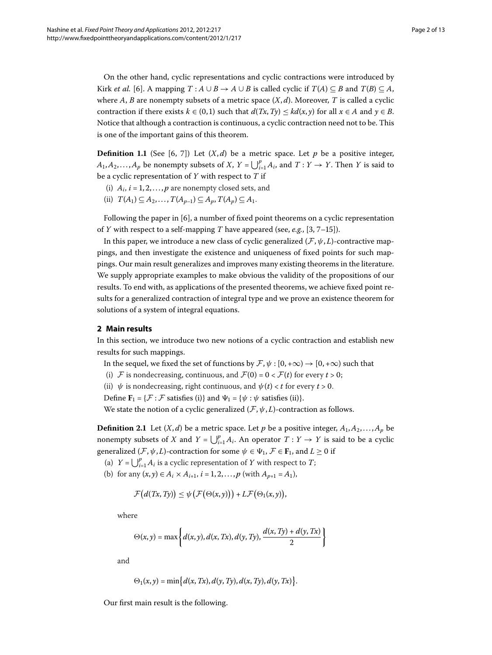On the other hand, cyclic representations and cyclic contractions were introduced by Kirk *et al.* [6]. A mapping  $T : A \cup B \rightarrow A \cup B$  is called cyclic if  $T(A) \subseteq B$  and  $T(B) \subseteq A$ , where *A*, *B* are nonempty subsets of a metric space  $(X, d)$ . Moreover, *T* is called a cyclic contraction if there exists  $k \in (0,1)$  such that  $d(Tx, Ty) \leq kd(x, y)$  for all  $x \in A$  and  $y \in B$ . Notice that although a contraction is continuous, a cyclic contraction need not to be. This is one of the important gains of this theorem.

**Definition 1.1** (See [6, 7[\]](#page-12-6)) Let  $(X, d)$  be a metric space. Let  $p$  be a positive integer,  $A_1, A_2, \ldots, A_p$  be nonempty subsets of *X*,  $Y = \bigcup_{i=1}^p A_i$ , and  $T: Y \to Y$ . Then *Y* is said to be a cyclic representation of *Y* with respect to *T* if

- (i)  $A_i$ ,  $i = 1, 2, \ldots, p$  are nonempty closed sets, and
- (ii)  $T(A_1) \subseteq A_2, ..., T(A_{p-1}) \subseteq A_p, T(A_p) \subseteq A_1.$

Following the paper in  $[6]$ , a number of fixed point theorems on a cyclic representation of *Y* with respect to a self-mapping *T* have appeared (see[,](#page-12-7) *e.g.*, [3, 7[–](#page-12-8)15]).

In this paper, we introduce a new class of cyclic generalized  $(\mathcal{F}, \psi, L)$ -contractive mappings, and then investigate the existence and uniqueness of fixed points for such mappings. Our main result generalizes and improves many existing theorems in the literature. We supply appropriate examples to make obvious the validity of the propositions of our results. To end with, as applications of the presented theorems, we achieve fixed point results for a generalized contraction of integral type and we prove an existence theorem for solutions of a system of integral equations.

## **2 Main results**

In this section, we introduce two new notions of a cyclic contraction and establish new results for such mappings.

- In the sequel, we fixed the set of functions by  $\mathcal{F}, \psi : [0, +\infty) \to [0, +\infty)$  such that
- (i)  $\mathcal F$  is nondecreasing, continuous, and  $\mathcal F(0) = 0 < \mathcal F(t)$  for every  $t > 0$ ;
- (ii)  $\psi$  is nondecreasing, right continuous, and  $\psi(t) < t$  for every  $t > 0$ .
- Define  $\mathbf{F}_1 = \{ \mathcal{F} : \mathcal{F} \text{ satisfies (i)} \}$  and  $\Psi_1 = \{ \psi : \psi \text{ satisfies (ii)} \}.$

We state the notion of a cyclic generalized  $(F, \psi, L)$ -contraction as follows.

**Definition 2.1** Let  $(X, d)$  be a metric space. Let *p* be a positive integer,  $A_1, A_2, \ldots, A_p$  be nonempty subsets of *X* and  $Y = \bigcup_{i=1}^{p} A_i$ . An operator  $T: Y \to Y$  is said to be a cyclic generalized (*F*,  $\psi$ , *L*)-contraction for some  $\psi \in \Psi_1$ ,  $\mathcal{F} \in \mathbf{F}_1$ , and  $L \geq 0$  if

- (a)  $Y = \bigcup_{i=1}^{p} A_i$  is a cyclic representation of *Y* with respect to *T*;
- (b) for any  $(x, y) \in A_i \times A_{i+1}$ ,  $i = 1, 2, ..., p$  (with  $A_{p+1} = A_1$ ),

$$
\mathcal{F}\big(d(Tx,Ty)\big)\leq\psi\big(\mathcal{F}\big(\Theta(x,y)\big)\big)+L\mathcal{F}\big(\Theta_1(x,y)\big),
$$

where

$$
\Theta(x, y) = \max \left\{ d(x, y), d(x, Tx), d(y, Ty), \frac{d(x, Ty) + d(y, Tx)}{2} \right\}
$$

and

$$
\Theta_1(x,y)=\min\big\{d(x,Tx),d(y,Ty),d(x,Ty),d(y,Tx)\big\}.
$$

Our first main result is the following.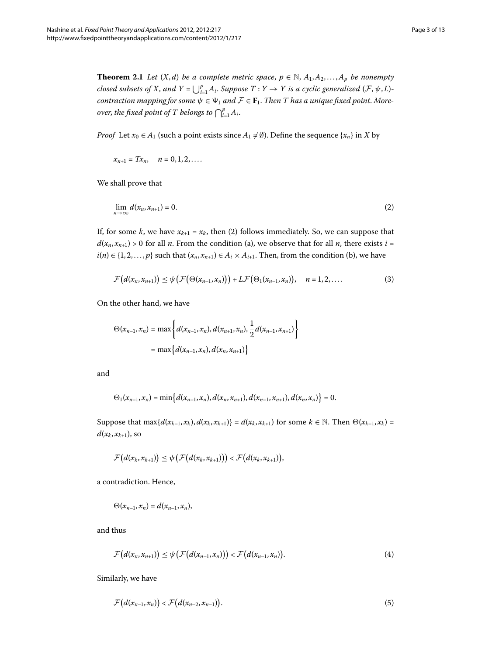<span id="page-2-3"></span>**Theorem 2.1** *Let*  $(X, d)$  *be a complete metric space,*  $p \in \mathbb{N}$ ,  $A_1, A_2, \ldots, A_p$  *be nonempty closed subsets of X*, and  $Y = \bigcup_{i=1}^{p} A_i$ . *Suppose*  $T : Y \to Y$  is a cyclic generalized  $(\mathcal{F}, \psi, L)$ *contraction mapping for some*  $\psi \in \Psi_1$  *and*  $\mathcal{F} \in \mathbf{F}_1$ *. Then T has a unique fixed point. Moreover, the fixed point of T belongs to*  $\bigcap_{i=1}^p A_i$ .

*Proof* Let  $x_0 \in A_1$  (such a point exists since  $A_1 \neq \emptyset$ ). Define the sequence  $\{x_n\}$  in *X* by

<span id="page-2-0"></span>
$$
x_{n+1} = Tx_n
$$
,  $n = 0, 1, 2, ...$ 

We shall prove that

$$
\lim_{n\to\infty} d(x_n, x_{n+1}) = 0. \tag{2}
$$

If, for some *k*, we have  $x_{k+1} = x_k$ , then (2[\)](#page-2-0) follows immediately. So, we can suppose that  $d(x_n, x_{n+1}) > 0$  for all *n*. From the condition (a), we observe that for all *n*, there exists *i* =  $i(n) \in \{1, 2, ..., p\}$  such that  $(x_n, x_{n+1}) \in A_i \times A_{i+1}$ . Then, from the condition (b), we have

$$
\mathcal{F}\big(d(x_n,x_{n+1})\big) \leq \psi\big(\mathcal{F}\big(\Theta(x_{n-1},x_n)\big)\big) + L\mathcal{F}\big(\Theta_1(x_{n-1},x_n)\big), \quad n=1,2,\ldots
$$
 (3)

On the other hand, we have

$$
\Theta(x_{n-1}, x_n) = \max \left\{ d(x_{n-1}, x_n), d(x_{n+1}, x_n), \frac{1}{2} d(x_{n-1}, x_{n+1}) \right\}
$$

$$
= \max \left\{ d(x_{n-1}, x_n), d(x_n, x_{n+1}) \right\}
$$

and

$$
\Theta_1(x_{n-1},x_n) = \min\{d(x_{n-1},x_n), d(x_n,x_{n+1}), d(x_{n-1},x_{n+1}), d(x_n,x_n)\} = 0.
$$

Suppose that  $\max\{d(x_{k-1}, x_k), d(x_k, x_{k+1})\} = d(x_k, x_{k+1})$  for some  $k \in \mathbb{N}$ . Then  $\Theta(x_{k-1}, x_k) =$  $d(x_k, x_{k+1})$ , so

<span id="page-2-1"></span>
$$
\mathcal{F}\big(d(x_k,x_{k+1})\big) \leq \psi\big(\mathcal{F}\big(d(x_k,x_{k+1})\big)\big) < \mathcal{F}\big(d(x_k,x_{k+1})\big),
$$

a contradiction. Hence,

<span id="page-2-2"></span>
$$
\Theta(x_{n-1},x_n)=d(x_{n-1},x_n),
$$

and thus

$$
\mathcal{F}\big(d(x_n,x_{n+1})\big) \leq \psi\big(\mathcal{F}\big(d(x_{n-1},x_n)\big)\big) < \mathcal{F}\big(d(x_{n-1},x_n)\big).
$$
\n(4)

Similarly, we have

$$
\mathcal{F}\big(d(x_{n-1},x_n)\big)<\mathcal{F}\big(d(x_{n-2},x_{n-1})\big). \tag{5}
$$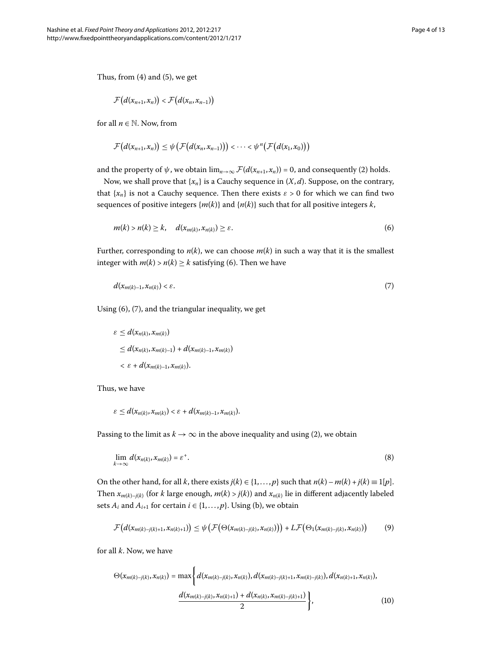Thus, from  $(4)$  and  $(5)$ , we get

$$
\mathcal{F}\big(d(x_{n+1},x_n)\big)<\mathcal{F}\big(d(x_n,x_{n-1})\big)
$$

for all  $n \in \mathbb{N}$ . Now, from

<span id="page-3-0"></span>
$$
\mathcal{F}\big(d(x_{n+1},x_n)\big)\leq\psi\big(\mathcal{F}\big(d(x_n,x_{n-1})\big)\big)<\cdots<\psi^n\big(\mathcal{F}\big(d(x_1,x_0)\big)\big)
$$

and the property of  $\psi$ , we obtain  $\lim_{n\to\infty} \mathcal{F}(d(x_{n+1}, x_n)) = 0$  $\lim_{n\to\infty} \mathcal{F}(d(x_{n+1}, x_n)) = 0$  $\lim_{n\to\infty} \mathcal{F}(d(x_{n+1}, x_n)) = 0$ , and consequently (2) holds.

Now, we shall prove that  $\{x_n\}$  is a Cauchy sequence in  $(X, d)$ . Suppose, on the contrary, that  $\{x_n\}$  is not a Cauchy sequence. Then there exists  $\varepsilon > 0$  for which we can find two sequences of positive integers  $\{m(k)\}$  and  $\{n(k)\}$  such that for all positive integers *k*,

<span id="page-3-1"></span>
$$
m(k) > n(k) \ge k, \quad d(x_{m(k)}, x_{n(k)}) \ge \varepsilon. \tag{6}
$$

Further, corresponding to  $n(k)$ , we can choose  $m(k)$  in such a way that it is the smallest integer with  $m(k) > n(k) \ge k$  satisfying (6). Then we have

$$
d(x_{m(k)-1},x_{n(k)}) < \varepsilon. \tag{7}
$$

Using  $(6)$  $(6)$ ,  $(7)$ , and the triangular inequality, we get

$$
\varepsilon \leq d(x_{n(k)}, x_{m(k)})
$$
  
\n
$$
\leq d(x_{n(k)}, x_{m(k)-1}) + d(x_{m(k)-1}, x_{m(k)})
$$
  
\n
$$
< \varepsilon + d(x_{m(k)-1}, x_{m(k)}).
$$

Thus, we have

<span id="page-3-2"></span>
$$
\varepsilon \leq d(x_{n(k)}, x_{m(k)}) < \varepsilon + d(x_{m(k)-1}, x_{m(k)}).
$$

Passing to the limit as  $k \to \infty$  in the above inequality and using (2[\)](#page-2-0), we obtain

<span id="page-3-3"></span>
$$
\lim_{k \to \infty} d(x_{n(k)}, x_{m(k)}) = \varepsilon^+.
$$
\n(8)

On the other hand, for all *k*, there exists *j*(*k*)  $\in$  {1, ..., *p*} such that *n*(*k*) – *m*(*k*) + *j*(*k*)  $\equiv$  1[*p*]. Then  $x_{m(k)-j(k)}$  (for *k* large enough,  $m(k) > j(k)$ ) and  $x_{n(k)}$  lie in different adjacently labeled sets  $A_i$  and  $A_{i+1}$  for certain  $i \in \{1, ..., p\}$ . Using (b), we obtain

$$
\mathcal{F}\big(d(x_{m(k)-j(k)+1},x_{n(k)+1})\big)\leq\psi\big(\mathcal{F}\big(\Theta(x_{m(k)-j(k)},x_{n(k)})\big)\big)+L\mathcal{F}\big(\Theta_1(x_{m(k)-j(k)},x_{n(k)})\big)\hspace{1cm}(9)
$$

for all *k*. Now, we have

$$
\Theta(x_{m(k)-j(k)}, x_{n(k)}) = \max\left\{d(x_{m(k)-j(k)}, x_{n(k)}), d(x_{m(k)-j(k)+1}, x_{m(k)-j(k)}), d(x_{n(k)+1}, x_{n(k)}),
$$

$$
\frac{d(x_{m(k)-j(k)}, x_{n(k)+1}) + d(x_{n(k)}, x_{m(k)-j(k)+1})}{2}\right\},
$$
(10)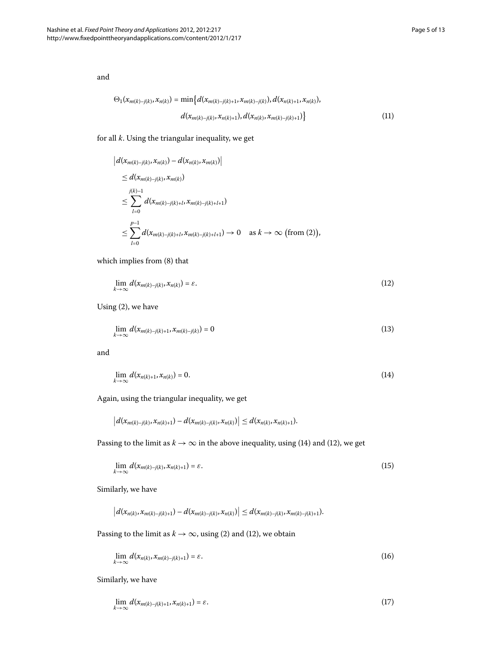and

$$
\Theta_1(x_{m(k)-j(k)}, x_{n(k)}) = \min\{d(x_{m(k)-j(k)+1}, x_{m(k)-j(k)}), d(x_{n(k)+1}, x_{n(k)}),
$$

$$
d(x_{m(k)-j(k)}, x_{n(k)+1}), d(x_{n(k)}, x_{m(k)-j(k)+1})\}
$$
(11)

# for all *k*. Using the triangular inequality, we get

<span id="page-4-1"></span>
$$
\left| d(x_{m(k)-j(k)}, x_{n(k)}) - d(x_{n(k)}, x_{m(k)}) \right|
$$
  
\n
$$
\leq d(x_{m(k)-j(k)}, x_{m(k)})
$$
  
\n
$$
\leq \sum_{l=0}^{j(k)-1} d(x_{m(k)-j(k)+l}, x_{m(k)-j(k)+l+1})
$$
  
\n
$$
\leq \sum_{l=0}^{p-1} d(x_{m(k)-j(k)+l}, x_{m(k)-j(k)+l+1}) \to 0 \text{ as } k \to \infty \text{ (from (2)),}
$$

which implies from  $(8)$  $(8)$  that

<span id="page-4-0"></span>
$$
\lim_{k \to \infty} d(x_{m(k)-j(k)}, x_{n(k)}) = \varepsilon. \tag{12}
$$

Using  $(2)$  $(2)$ , we have

$$
\lim_{k \to \infty} d(x_{m(k)-j(k)+1}, x_{m(k)-j(k)}) = 0
$$
\n(13)

and

$$
\lim_{k \to \infty} d(x_{n(k)+1}, x_{n(k)}) = 0. \tag{14}
$$

Again, using the triangular inequality, we get

 $|d(x_{m(k)-j(k)}, x_{n(k)+1}) - d(x_{m(k)-j(k)}, x_{n(k)})| \leq d(x_{n(k)}, x_{n(k)+1}).$ 

Passing to the limit as  $k \to \infty$  in the above inequality, using [\(](#page-4-1)14) and (12), we get

$$
\lim_{k \to \infty} d(x_{m(k)-j(k)}, x_{n(k)+1}) = \varepsilon. \tag{15}
$$

Similarly, we have

<span id="page-4-3"></span><span id="page-4-2"></span>
$$
\left|d(x_{n(k)},x_{m(k)-j(k)+1})-d(x_{m(k)-j(k)},x_{n(k)})\right|\leq d(x_{m(k)-j(k)},x_{m(k)-j(k)+1}).
$$

Passing to the limit as  $k \to \infty$ , using [\(](#page-4-1)2) and (12), we obtain

$$
\lim_{k \to \infty} d(x_{n(k)}, x_{m(k)-j(k)+1}) = \varepsilon. \tag{16}
$$

Similarly, we have

$$
\lim_{k \to \infty} d(x_{m(k)-j(k)+1}, x_{n(k)+1}) = \varepsilon. \tag{17}
$$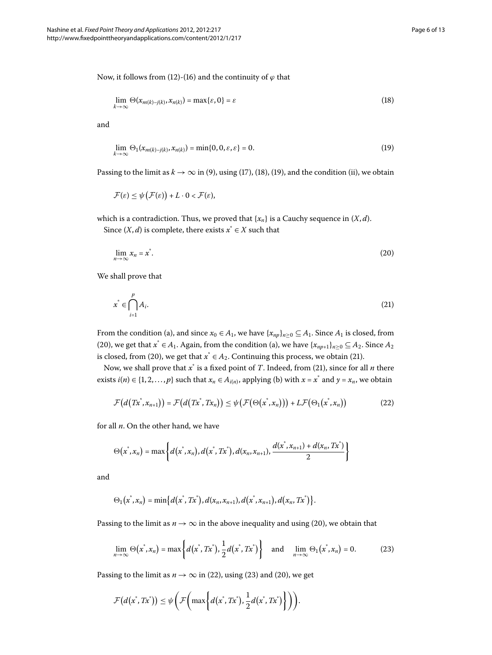Now, it follows from [\(](#page-4-2)12)-(16) and the continuity of  $\varphi$  that

<span id="page-5-1"></span><span id="page-5-0"></span>
$$
\lim_{k \to \infty} \Theta(x_{m(k)-j(k)}, x_{n(k)}) = \max\{\varepsilon, 0\} = \varepsilon
$$
\n(18)

and

$$
\lim_{k \to \infty} \Theta_1(x_{m(k)-j(k)}, x_{n(k)}) = \min\{0, 0, \varepsilon, \varepsilon\} = 0. \tag{19}
$$

Passing to the limit as  $k \to \infty$  in (9[\)](#page-5-1), using [\(](#page-4-3)17), (18), (19), and the condition (ii), we obtain

<span id="page-5-2"></span>
$$
\mathcal{F}(\varepsilon) \leq \psi\big(\mathcal{F}(\varepsilon)\big) + L \cdot 0 < \mathcal{F}(\varepsilon),
$$

which is a contradiction. Thus, we proved that  $\{x_n\}$  is a Cauchy sequence in  $(X, d)$ .

Since  $(X, d)$  is complete, there exists  $x^* \in X$  such that

<span id="page-5-3"></span>
$$
\lim_{n \to \infty} x_n = x^*.
$$
\n(20)

We shall prove that

<span id="page-5-4"></span>
$$
x^* \in \bigcap_{i=1}^p A_i. \tag{21}
$$

From the condition (a), and since  $x_0 \in A_1$ , we have  $\{x_{np}\}_{n\geq 0} \subseteq A_1$ . Since  $A_1$  is closed, from (20), we get that  $x^* \in A_1$ . Again, from the condition (a), we have  $\{x_{np+1}\}_{n\geq 0} \subseteq A_2$ . Since  $A_2$ is closed, from (20), we get that  $x^* \in A_2$ . Continuing this process, we obtain (21).

Now, we shall prove that  $x^*$  is a fixed point of *T*. Indeed, from (21), since for all *n* there exists  $i(n) \in \{1, 2, ..., p\}$  such that  $x_n \in A_{i(n)}$ , applying (b) with  $x = x^*$  and  $y = x_n$ , we obtain

$$
\mathcal{F}\big(d\big(Tx^*,x_{n+1}\big)\big)=\mathcal{F}\big(d\big(Tx^*,Tx_n\big)\big)\leq\psi\big(\mathcal{F}\big(\Theta\big(x^*,x_n\big)\big)\big)+L\mathcal{F}\big(\Theta_1\big(x^*,x_n\big)\big) \tag{22}
$$

for all *n*. On the other hand, we have

$$
\Theta(x^*,x_n)=\max\left\{d(x^*,x_n),d(x^*,Tx^*),d(x_n,x_{n+1}),\frac{d(x^*,x_{n+1})+d(x_n,Tx^*)}{2}\right\}
$$

and

<span id="page-5-5"></span>
$$
\Theta_1(x^*,x_n)=\min\{d(x^*,Tx^*),d(x_n,x_{n+1}),d(x^*,x_{n+1}),d(x_n,Tx^*)\}.
$$

Passing to the limit as  $n \to \infty$  in the above inequality and using (20), we obtain that

$$
\lim_{n \to \infty} \Theta(x^*, x_n) = \max \left\{ d(x^*, Tx^*) , \frac{1}{2} d(x^*, Tx^*) \right\} \text{ and } \lim_{n \to \infty} \Theta_1(x^*, x_n) = 0. \tag{23}
$$

Passing to the limit as  $n \to \infty$  in (22[\)](#page-5-5), using (23) and (20), we get

$$
\mathcal{F}(d(x^*,Tx^*)) \leq \psi\bigg(\mathcal{F}\bigg(\max\bigg\{d(x^*,Tx^*) ,\frac{1}{2}d(x^*,Tx^*)\bigg\}\bigg)\bigg).
$$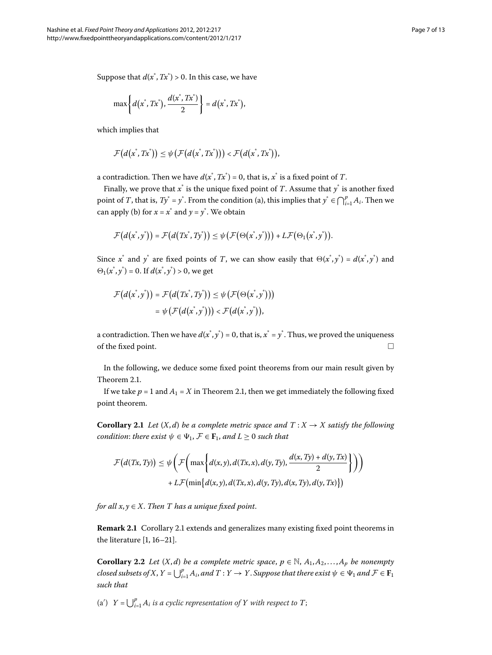Suppose that  $d(x^*, Tx^*) > 0$ . In this case, we have

$$
\max\left\{d(x^*,Tx^*),\frac{d(x^*,Tx^*)}{2}\right\} = d(x^*,Tx^*),
$$

which implies that

$$
\mathcal{F}\big(d\big(x^*, T x^*\big)\big) \leq \psi\big(\mathcal{F}\big(d\big(x^*, T x^*\big)\big)\big) < \mathcal{F}\big(d\big(x^*, T x^*\big)\big),
$$

a contradiction. Then we have  $d(x^*,Tx^*)$  = 0, that is,  $x^*$  is a fixed point of  $T.$ 

Finally, we prove that  $x^*$  is the unique fixed point of *T*. Assume that  $y^*$  is another fixed point of *T*, that is,  $Ty^* = y^*$ . From the condition (a), this implies that  $y^* \in \bigcap_{i=1}^p A_i$ . Then we can apply (b) for  $x = x^*$  and  $y = y^*$ . We obtain

$$
\mathcal{F}\big(d\big(x^*,y^*\big)\big)=\mathcal{F}\big(d\big(Tx^*,Ty^*\big)\big)\leq\psi\big(\mathcal{F}\big(\Theta\big(x^*,y^*\big)\big)\big)+L\mathcal{F}\big(\Theta_1\big(x^*,y^*\big)\big).
$$

Since  $x^*$  and  $y^*$  are fixed points of *T*, we can show easily that  $\Theta(x^*, y^*) = d(x^*, y^*)$  and  $\Theta_1(x^*, y^*) = 0$ . If  $d(x^*, y^*) > 0$ , we get

$$
\mathcal{F}(d(x^*, y^*)) = \mathcal{F}(d(Tx^*, Ty^*)) \leq \psi(\mathcal{F}(\Theta(x^*, y^*)))
$$

$$
= \psi(\mathcal{F}(d(x^*, y^*))) < \mathcal{F}(d(x^*, y^*)),
$$

<span id="page-6-0"></span>a contradiction. Then we have  $d(x^*,y^*)$  = 0, that is,  $x^*$  =  $y^*$  . Thus, we proved the uniqueness of the fixed point.  $\Box$ 

In the following, we deduce some fixed point theorems from our main result given by Theorem 2[.](#page-2-3)1.

If we take  $p = 1$  and  $A_1 = X$  in Theorem 2[.](#page-2-3)1, then we get immediately the following fixed point theorem.

**Corollary 2.1** Let  $(X,d)$  be a complete metric space and  $T: X \rightarrow X$  satisfy the following *condition: there exist*  $\psi \in \Psi_1$ ,  $\mathcal{F} \in \mathbf{F}_1$ , and  $L \geq 0$  such that

$$
\mathcal{F}\big(d(Tx,Ty)\big) \leq \psi\bigg(\mathcal{F}\bigg(\max\bigg\{d(x,y), d(Tx,x), d(y,Ty), \frac{d(x,Ty) + d(y,Tx)}{2}\bigg\}\bigg)\bigg) + L\mathcal{F}\big(\min\big\{d(x,y), d(Tx,x), d(y,Ty), d(x,Ty), d(y,Tx)\big\}\bigg)
$$

<span id="page-6-1"></span>*for all*  $x, y \in X$ *. Then T has a unique fixed point.* 

**Remark 2[.](#page-6-0)1** Corollary 2.1 extends and generalizes many existing fixed point theorems in the literature  $[1, 16-21]$  $[1, 16-21]$  $[1, 16-21]$ .

**Corollary 2.2** *Let*  $(X, d)$  *be a complete metric space,*  $p \in \mathbb{N}$ *,*  $A_1, A_2, \ldots, A_p$  *<i>be nonempty*  $R$  *closed subsets of X*,  $Y = \bigcup_{i=1}^{p} A_i$ , and  $T: Y \to Y$ . Suppose that there exist  $\psi \in \Psi_1$  and  $\mathcal{F} \in \mathbf{F}_1$ *such that*

(a')  $Y = \bigcup_{i=1}^{p} A_i$  *is a cyclic representation of*  $Y$  *with respect to*  $T$ ;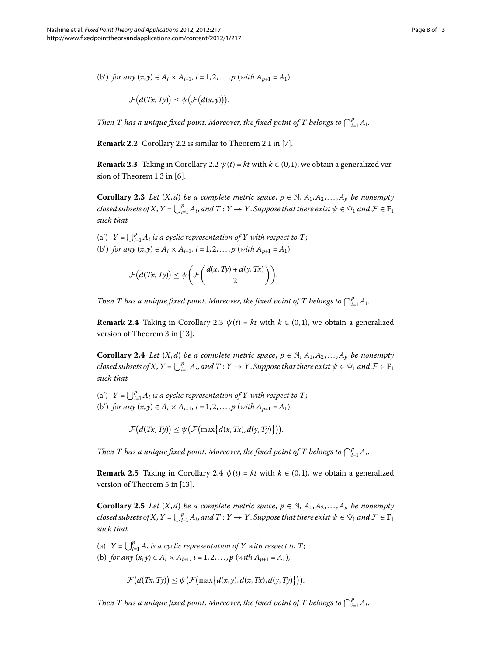(b') for any 
$$
(x, y) \in A_i \times A_{i+1}
$$
,  $i = 1, 2, ..., p$  (with  $A_{p+1} = A_1$ ),

$$
\mathcal{F}\big(d(Tx,Ty)\big)\leq \psi\big(\mathcal{F}\big(d(x,y)\big)\big).
$$

<span id="page-7-0"></span>*Then T has a unique fixed point. Moreover, the fixed point of T belongs to*  $\bigcap_{i=1}^p A_i$ .

**Remark 2[.](#page-6-1)2** Corollary 2.2 is similar to Theorem 2.1 in [\[](#page-12-6)7].

**Remark 2[.](#page-6-1)3** Taking in Corollary 2.2  $\psi(t) = kt$  with  $k \in (0,1)$ , we obtain a generalized version of Theorem 1.3 in  $[6]$ .

**Corollary 2.3** Let  $(X, d)$  be a complete metric space,  $p \in \mathbb{N}$ ,  $A_1, A_2, \ldots, A_p$  be nonempty  $R$  *closed subsets of X*,  $Y = \bigcup_{i=1}^{p} A_i$ , and  $T: Y \to Y$ . Suppose that there exist  $\psi \in \Psi_1$  and  $\mathcal{F} \in \mathbf{F}_1$ *such that*

(a')  $Y = \bigcup_{i=1}^{p} A_i$  *is a cyclic representation of*  $Y$  *with respect to*  $T$ ;  $(b')$  *for any*  $(x, y) \in A_i \times A_{i+1}, i = 1, 2, ..., p$  (with  $A_{p+1} = A_1$ ),

$$
\mathcal{F}\big(d(Tx,Ty)\big)\leq\psi\bigg(\mathcal{F}\bigg(\frac{d(x,Ty)+d(y,Tx)}{2}\bigg)\bigg).
$$

<span id="page-7-1"></span>*Then T has a unique fixed point. Moreover, the fixed point of T belongs to*  $\bigcap_{i=1}^p A_i$ .

**Remark 2[.](#page-7-0)4** Taking in Corollary 2.3  $\psi(t) = kt$  with  $k \in (0,1)$ , we obtain a generalized version of Theorem 3 in [13[\]](#page-12-11).

**Corollary 2.4** Let  $(X, d)$  be a complete metric space,  $p \in \mathbb{N}$ ,  $A_1, A_2, \ldots, A_p$  be nonempty  $R$  *closed subsets of X*,  $Y = \bigcup_{i=1}^{p} A_i$ , and  $T: Y \to Y$ . Suppose that there exist  $\psi \in \Psi_1$  and  $\mathcal{F} \in \mathbf{F}_1$ *such that*

(a')  $Y = \bigcup_{i=1}^{p} A_i$  *is a cyclic representation of*  $Y$  *with respect to*  $T$ ;  $(b')$  *for any*  $(x, y) \in A_i \times A_{i+1}, i = 1, 2, ..., p$  (with  $A_{p+1} = A_1$ ),

 $\mathcal{F}(d(Tx,Ty)) \leq \psi\big(\mathcal{F}\big(\max\big\{d(x,Tx),d(y,Ty)\big\}\big)\big).$ 

*Then T has a unique fixed point. Moreover, the fixed point of T belongs to*  $\bigcap_{i=1}^p A_i$ .

**Remark 2[.](#page-7-1)5** Taking in Corollary 2.4  $\psi(t) = kt$  with  $k \in (0,1)$ , we obtain a generalized version of Theorem 5 in [13[\]](#page-12-11).

**Corollary 2.5** *Let*  $(X, d)$  *be a complete metric space,*  $p \in \mathbb{N}$ *,*  $A_1, A_2, \ldots, A_p$  *<i>be nonempty*  $R$  *closed subsets of X*,  $Y = \bigcup_{i=1}^{p} A_i$ , and  $T: Y \to Y$ . Suppose that there exist  $\psi \in \Psi_1$  and  $\mathcal{F} \in \mathbf{F}_1$ *such that*

(a)  $Y = \bigcup_{i=1}^{p} A_i$  *is a cyclic representation of*  $Y$  *with respect to*  $T$ ;

(b) *for any*  $(x, y) \in A_i \times A_{i+1}$ ,  $i = 1, 2, ..., p$  (*with*  $A_{p+1} = A_1$ *)*,

 $\mathcal{F}(d(Tx,Ty)) \leq \psi\big(\mathcal{F}\big(\max\big\{d(x,y),d(x,Tx),d(y,Ty)\big\}\big)\big).$ 

*Then T has a unique fixed point. Moreover, the fixed point of T belongs to*  $\bigcap_{i=1}^p A_i$ .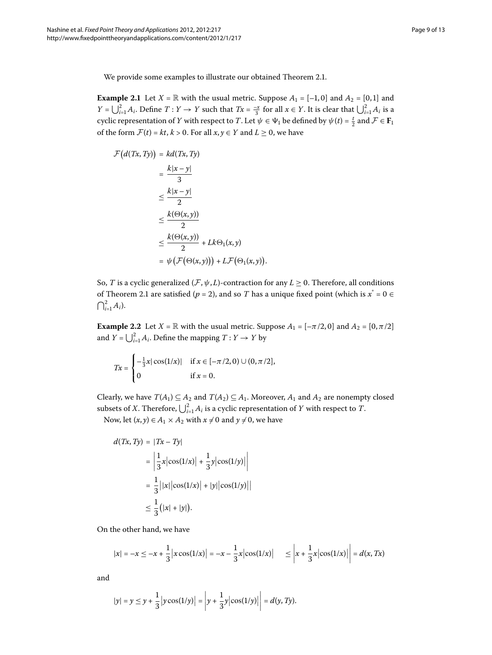We provide some examples to illustrate our obtained Theorem 2.1.

**Example 2.1** Let  $X = \mathbb{R}$  with the usual metric. Suppose  $A_1 = [-1, 0]$  and  $A_2 = [0, 1]$  and  $Y = \bigcup_{i=1}^{2} A_i$ . Define  $T: Y \to Y$  such that  $Tx = \frac{-x}{3}$  for all  $x \in Y$ . It is clear that  $\bigcup_{i=1}^{2} A_i$  is a cyclic representation of *Y* with respect to *T*. Let  $\psi \in \Psi_1$  be defined by  $\psi(t) = \frac{t}{2}$  and  $\mathcal{F} \in \mathbf{F}_1$ of the form  $\mathcal{F}(t) = kt, k > 0$ . For all  $x, y \in Y$  and  $L \geq 0$ , we have

$$
\mathcal{F}\big(d(Tx, Ty)\big) = kd(Tx, Ty)
$$
\n
$$
= \frac{k|x - y|}{3}
$$
\n
$$
\leq \frac{k|x - y|}{2}
$$
\n
$$
\leq \frac{k(\Theta(x, y))}{2}
$$
\n
$$
\leq \frac{k(\Theta(x, y))}{2} + Lk\Theta_1(x, y)
$$
\n
$$
= \psi\big(\mathcal{F}\big(\Theta(x, y)\big)\big) + L\mathcal{F}\big(\Theta_1(x, y)\big).
$$

So, *T* is a cyclic generalized ( $F$ ,  $\psi$ , *L*)-contraction for any *L*  $\geq$  0. Therefore, all conditions of Theorem 2[.](#page-2-3)1 are satisfied ( $p = 2$ ), and so *T* has a unique fixed point (which is  $x^* = 0 \in$  $\bigcap_{i=1}^{2} A_i$ .

**Example 2.2** Let  $X = \mathbb{R}$  with the usual metric. Suppose  $A_1 = [-\pi/2, 0]$  and  $A_2 = [0, \pi/2]$ and  $Y = \bigcup_{i=1}^{2} A_i$ . Define the mapping  $T: Y \rightarrow Y$  by

$$
Tx = \begin{cases} -\frac{1}{3}x|\cos(1/x)| & \text{if } x \in [-\pi/2, 0) \cup (0, \pi/2], \\ 0 & \text{if } x = 0. \end{cases}
$$

Clearly, we have  $T(A_1) \subseteq A_2$  and  $T(A_2) \subseteq A_1$ . Moreover,  $A_1$  and  $A_2$  are nonempty closed subsets of *X*. Therefore,  $\bigcup_{i=1}^2 A_i$  is a cyclic representation of *Y* with respect to *T*.

Now, let  $(x, y) \in A_1 \times A_2$  with  $x \neq 0$  and  $y \neq 0$ , we have

$$
d(Tx, Ty) = |Tx - Ty|
$$
  
=  $\left| \frac{1}{3}x|\cos(1/x)| + \frac{1}{3}y|\cos(1/y)| \right|$   
=  $\frac{1}{3}||x||\cos(1/x)| + |y||\cos(1/y)||$   
 $\leq \frac{1}{3}(|x| + |y|).$ 

On the other hand, we have

$$
|x| = -x \le -x + \frac{1}{3} |x \cos(1/x)| = -x - \frac{1}{3} x | \cos(1/x)| \le |x + \frac{1}{3} x | \cos(1/x)| | = d(x, Tx)
$$

and

$$
|y| = y \le y + \frac{1}{3} |y \cos(1/y)| = |y + \frac{1}{3}y| \cos(1/y)| = d(y, Ty).
$$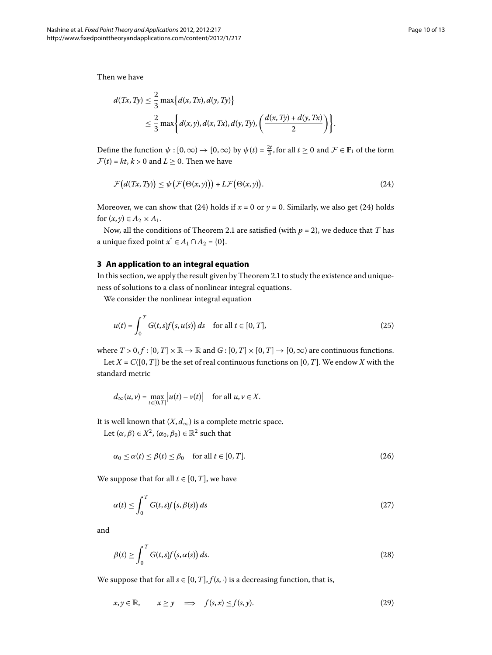Then we have

<span id="page-9-0"></span>
$$
d(Tx, Ty) \leq \frac{2}{3} \max \left\{ d(x, Tx), d(y, Ty) \right\}
$$
  
 
$$
\leq \frac{2}{3} \max \left\{ d(x, y), d(x, Tx), d(y, Ty), \left( \frac{d(x, Ty) + d(y, Tx)}{2} \right) \right\}.
$$

Define the function  $\psi : [0, \infty) \to [0, \infty)$  by  $\psi(t) = \frac{2t}{3}$ , for all  $t \ge 0$  and  $\mathcal{F} \in \mathbf{F}_1$  of the form  $\mathcal{F}(t) = kt, k > 0$  and  $L \geq 0$ . Then we have

$$
\mathcal{F}\big(d(Tx,Ty)\big) \le \psi\big(\mathcal{F}\big(\Theta(x,y)\big)\big) + L\mathcal{F}\big(\Theta(x,y)\big). \tag{24}
$$

Moreover, we can show that (24) holds if  $x = 0$  or  $y = 0$ . Similarly, we also get (24) holds for  $(x, y) \in A_2 \times A_1$ .

Now, all the conditions of Theorem 2[.](#page-2-3)1 are satisfied (with  $p = 2$ ), we deduce that *T* has a unique fixed point  $x^* \in A_1 \cap A_2 = \{0\}.$ 

# **3 An application to an integral equation**

In this section, we apply the result given by Theorem 2[.](#page-2-3)1 to study the existence and uniqueness of solutions to a class of nonlinear integral equations.

We consider the nonlinear integral equation

<span id="page-9-2"></span>
$$
u(t) = \int_0^T G(t,s)f(s,u(s))\,ds \quad \text{for all } t \in [0,T],\tag{25}
$$

where  $T > 0, f : [0, T] \times \mathbb{R} \to \mathbb{R}$  and  $G : [0, T] \times [0, T] \to [0, \infty)$  are continuous functions.

Let  $X = C([0, T])$  be the set of real continuous functions on [0, *T*]. We endow *X* with the standard metric

<span id="page-9-1"></span>
$$
d_{\infty}(u,v) = \max_{t \in [0,T]} |u(t) - v(t)| \quad \text{for all } u, v \in X.
$$

It is well known that  $(X, d_{\infty})$  is a complete metric space.

Let  $(\alpha, \beta) \in X^2$ ,  $(\alpha_0, \beta_0) \in \mathbb{R}^2$  such that

<span id="page-9-4"></span>
$$
\alpha_0 \le \alpha(t) \le \beta(t) \le \beta_0 \quad \text{for all } t \in [0, T]. \tag{26}
$$

We suppose that for all  $t \in [0, T]$ , we have

<span id="page-9-5"></span><span id="page-9-3"></span>
$$
\alpha(t) \le \int_0^T G(t,s)f(s,\beta(s))\,ds\tag{27}
$$

and

$$
\beta(t) \ge \int_0^T G(t,s)f(s,\alpha(s))\,ds. \tag{28}
$$

We suppose that for all  $s \in [0, T]$ ,  $f(s, \cdot)$  is a decreasing function, that is,

$$
x, y \in \mathbb{R}, \qquad x \ge y \quad \Longrightarrow \quad f(s, x) \le f(s, y). \tag{29}
$$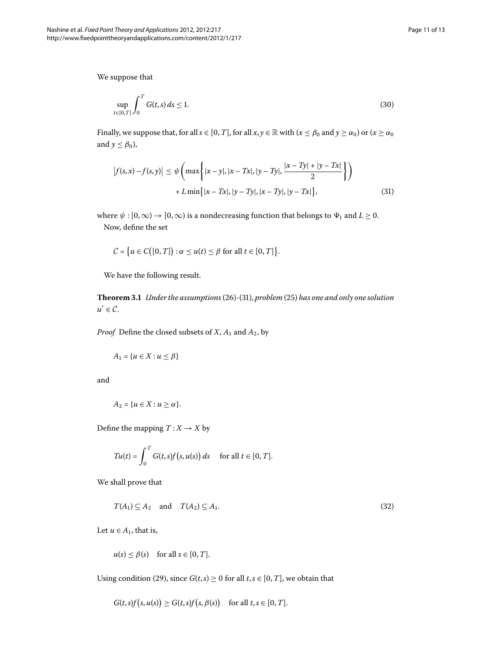<span id="page-10-0"></span>We suppose that

<span id="page-10-2"></span>
$$
\sup_{t\in[0,T]}\int_0^T G(t,s)\,ds\leq 1.\tag{30}
$$

Finally, we suppose that, for all  $s \in [0, T]$ , for all  $x, y \in \mathbb{R}$  with  $(x \leq \beta_0 \text{ and } y \geq \alpha_0)$  or  $(x \geq \alpha_0)$ and  $y \leq \beta_0$ ),

$$
|f(s,x) - f(s,y)| \le \psi\left(\max\left\{|x - y|, |x - Tx|, |y - Ty|, \frac{|x - Ty| + |y - Tx|}{2}\right\}\right) + L\min\{|x - Tx|, |y - Ty|, |x - Ty|, |y - Tx|\},\tag{31}
$$

where  $\psi : [0, \infty) \to [0, \infty)$  is a nondecreasing function that belongs to  $\Psi_1$  and  $L \geq 0$ . Now, define the set

$$
C = \big\{ u \in C([0, T]) : \alpha \leq u(t) \leq \beta \text{ for all } t \in [0, T] \big\}.
$$

We have the following result.

**Theorem .** *Under the assumptions*()*-*([\)](#page-10-0), *problem* () *has one and only one solution*  $u^* \in \mathcal{C}$ .

*Proof* Define the closed subsets of *X*,  $A_1$  and  $A_2$ , by

$$
A_1 = \{u \in X : u \le \beta\}
$$

and

$$
A_2 = \{u \in X : u \ge \alpha\}.
$$

Define the mapping  $T: X \to X$  by

<span id="page-10-1"></span>
$$
Tu(t) = \int_0^T G(t,s)f(s,u(s)) ds \quad \text{ for all } t \in [0,T].
$$

We shall prove that

$$
T(A_1) \subseteq A_2 \quad \text{and} \quad T(A_2) \subseteq A_1. \tag{32}
$$

Let *u*  $\in$  *A*<sub>1</sub>, that is,

$$
u(s) \le \beta(s) \quad \text{for all } s \in [0, T].
$$

Using condition [\(](#page-9-3)29), since  $G(t, s) \ge 0$  for all  $t, s \in [0, T]$ , we obtain that

$$
G(t,s)f(s,u(s)) \geq G(t,s)f(s,\beta(s)) \quad \text{for all } t,s \in [0,T].
$$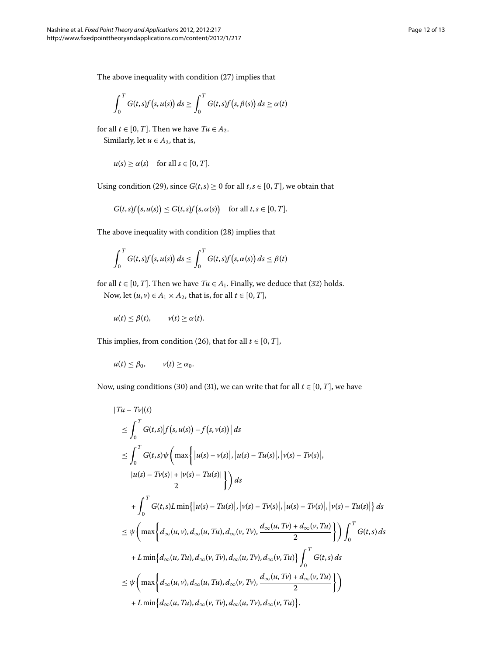The above inequality with condition  $(27)$  $(27)$  implies that

$$
\int_0^T G(t,s)f(s,u(s))\,ds \geq \int_0^T G(t,s)f(s,\beta(s))\,ds \geq \alpha(t)
$$

for all *t*  $\in$  [0, *T*]. Then we have *Tu*  $\in$  *A*<sub>2</sub>.

Similarly, let  $u \in A_2$ , that is,

$$
u(s) \ge \alpha(s) \quad \text{for all } s \in [0, T].
$$

Using condition [\(](#page-9-3)29), since  $G(t, s) \ge 0$  for all  $t, s \in [0, T]$ , we obtain that

$$
G(t,s)f(s,u(s)) \leq G(t,s)f(s,\alpha(s)) \quad \text{for all } t,s \in [0,T].
$$

The above inequality with condition  $(28)$  $(28)$  implies that

$$
\int_0^T G(t,s)f(s,u(s))\,ds \leq \int_0^T G(t,s)f(s,\alpha(s))\,ds \leq \beta(t)
$$

for all  $t \in [0, T]$ . Then we have  $Tu \in A_1$ . Finally, we deduce that (32[\)](#page-10-1) holds.

Now, let  $(u, v) \in A_1 \times A_2$ , that is, for all  $t \in [0, T]$ ,

$$
u(t) \leq \beta(t), \qquad v(t) \geq \alpha(t).
$$

This implies, from condition (26), that for all  $t \in [0, T]$ ,

$$
u(t) \leq \beta_0, \qquad v(t) \geq \alpha_0.
$$

Now, using conditions [\(](#page-10-0)30) and (31), we can write that for all  $t \in [0, T]$ , we have

$$
|Tu - Tv|(t)
$$
  
\n
$$
\leq \int_0^T G(t,s) |f(s, u(s)) - f(s, v(s))| ds
$$
  
\n
$$
\leq \int_0^T G(t,s) \psi \left( \max \left\{ |u(s) - v(s)|, |u(s) - Tu(s)|, |v(s) - Tv(s)|, \frac{|u(s) - Tv(s)| + |v(s) - Tu(s)|}{2} \right\} \right) ds
$$
  
\n
$$
+ \int_0^T G(t,s) L \min \left\{ |u(s) - Tu(s)|, |v(s) - Tv(s)|, |u(s) - Tv(s)|, |v(s) - Tu(s)| \right\} ds
$$
  
\n
$$
\leq \psi \left( \max \left\{ d_{\infty}(u, v), d_{\infty}(u, Tu), d_{\infty}(v, Tv), \frac{d_{\infty}(u, Tv) + d_{\infty}(v, Tu)}{2} \right\} \right) \int_0^T G(t,s) ds
$$
  
\n
$$
+ L \min \left\{ d_{\infty}(u, Tu), d_{\infty}(v, Tv), d_{\infty}(u, Tv), d_{\infty}(v, Tu) \right\} \int_0^T G(t,s) ds
$$
  
\n
$$
\leq \psi \left( \max \left\{ d_{\infty}(u, v), d_{\infty}(u, Tu), d_{\infty}(v, Tv), \frac{d_{\infty}(u, Tv) + d_{\infty}(v, Tu)}{2} \right\} \right)
$$
  
\n
$$
+ L \min \left\{ d_{\infty}(u, Tu), d_{\infty}(v, Tv), d_{\infty}(u, Tv), d_{\infty}(v, Tu) \right\}.
$$